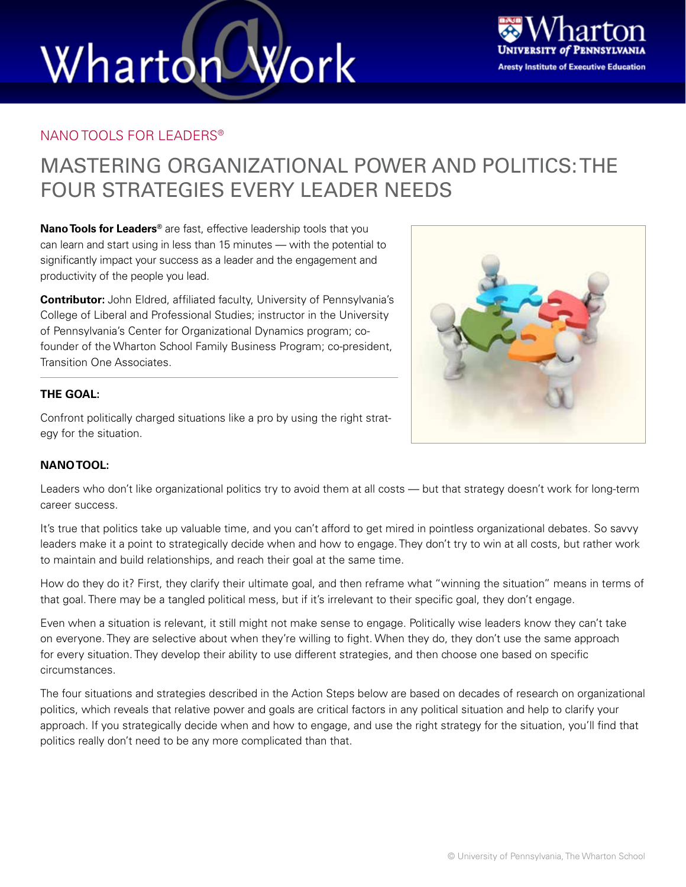# Work Wharton



#### NANO TOOLS FOR LEADERS®

### MASTERING ORGANIZATIONAL POWER AND POLITICS: THE FOUR STRATEGIES EVERY LEADER NEEDS

**Nano Tools for Leaders®** are fast, effective leadership tools that you can learn and start using in less than 15 minutes — with the potential to significantly impact your success as a leader and the engagement and productivity of the people you lead.

**Contributor:** John Eldred, affiliated faculty, University of Pennsylvania's College of Liberal and Professional Studies; instructor in the University of Pennsylvania's Center for Organizational Dynamics program; cofounder of the Wharton School Family Business Program; co-president, Transition One Associates.

#### **THE GOAL:**

Confront politically charged situations like a pro by using the right strategy for the situation.



#### **NANO TOOL:**

Leaders who don't like organizational politics try to avoid them at all costs — but that strategy doesn't work for long-term career success.

It's true that politics take up valuable time, and you can't afford to get mired in pointless organizational debates. So savvy leaders make it a point to strategically decide when and how to engage. They don't try to win at all costs, but rather work to maintain and build relationships, and reach their goal at the same time.

How do they do it? First, they clarify their ultimate goal, and then reframe what "winning the situation" means in terms of that goal. There may be a tangled political mess, but if it's irrelevant to their specific goal, they don't engage.

Even when a situation is relevant, it still might not make sense to engage. Politically wise leaders know they can't take on everyone. They are selective about when they're willing to fight. When they do, they don't use the same approach for every situation. They develop their ability to use different strategies, and then choose one based on specific circumstances.

The four situations and strategies described in the Action Steps below are based on decades of research on organizational politics, which reveals that relative power and goals are critical factors in any political situation and help to clarify your approach. If you strategically decide when and how to engage, and use the right strategy for the situation, you'll find that politics really don't need to be any more complicated than that.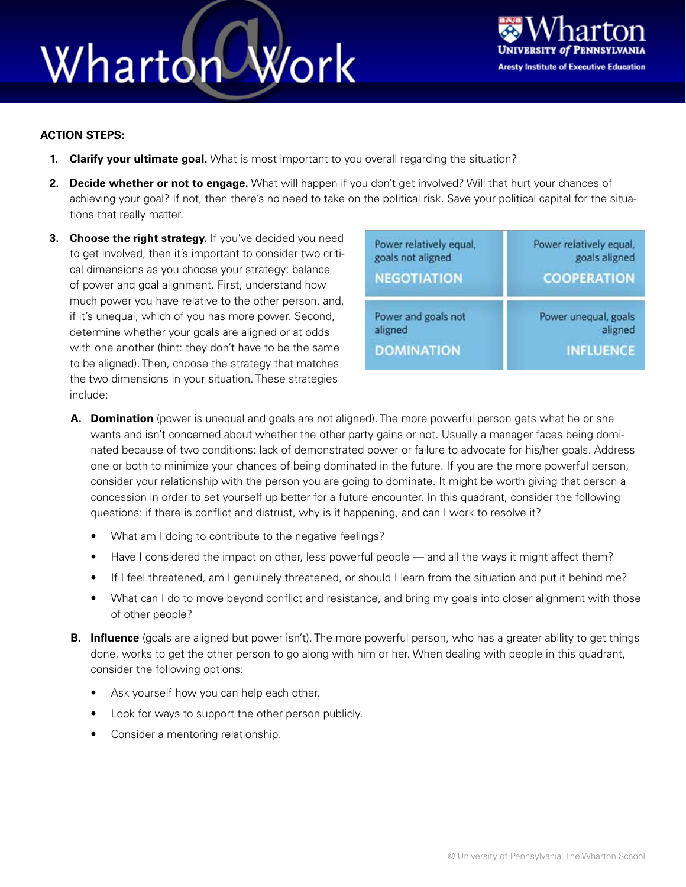## Work Wharton



#### **ACTION STEPS:**

- **1. Clarify your ultimate goal.** What is most important to you overall regarding the situation?
- **2. Decide whether or not to engage.** What will happen if you don't get involved? Will that hurt your chances of achieving your goal? If not, then there's no need to take on the political risk. Save your political capital for the situations that really matter.
- **3. Choose the right strategy.** If you've decided you need to get involved, then it's important to consider two critical dimensions as you choose your strategy: balance of power and goal alignment. First, understand how much power you have relative to the other person, and, if it's unequal, which of you has more power. Second, determine whether your goals are aligned or at odds with one another (hint: they don't have to be the same to be aligned). Then, choose the strategy that matches the two dimensions in your situation. These strategies include:

| Power relatively equal, | Power relatively equal, |
|-------------------------|-------------------------|
| goals not aligned       | goals aligned           |
| <b>NEGOTIATION</b>      | <b>COOPERATION</b>      |
| Power and goals not     | Power unequal, goals    |
| aligned                 | aligned                 |
| <b>DOMINATION</b>       | <b>INFLUENCE</b>        |

- **A. Domination** (power is unequal and goals are not aligned). The more powerful person gets what he or she wants and isn't concerned about whether the other party gains or not. Usually a manager faces being dominated because of two conditions: lack of demonstrated power or failure to advocate for his/her goals. Address one or both to minimize your chances of being dominated in the future. If you are the more powerful person, consider your relationship with the person you are going to dominate. It might be worth giving that person a concession in order to set yourself up better for a future encounter. In this quadrant, consider the following questions: if there is conflict and distrust, why is it happening, and can I work to resolve it?
	- What am I doing to contribute to the negative feelings?
	- Have I considered the impact on other, less powerful people and all the ways it might affect them?
	- If I feel threatened, am I genuinely threatened, or should I learn from the situation and put it behind me?
	- What can I do to move beyond conflict and resistance, and bring my goals into closer alignment with those of other people?
- **B. Influence** (goals are aligned but power isn't). The more powerful person, who has a greater ability to get things done, works to get the other person to go along with him or her. When dealing with people in this quadrant, consider the following options:
	- Ask yourself how you can help each other.
	- Look for ways to support the other person publicly.
	- Consider a mentoring relationship.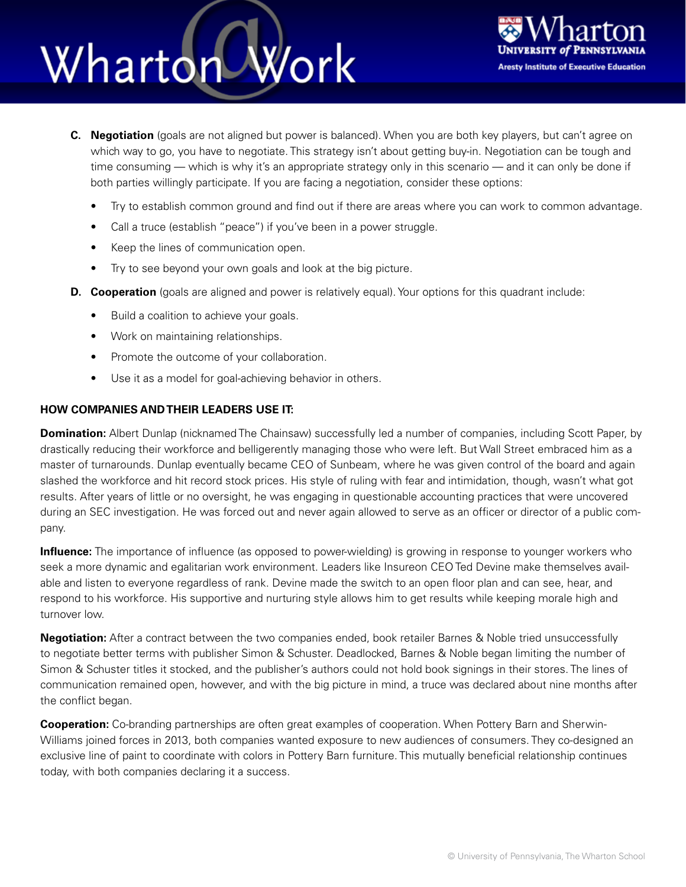### Work Whartor



- **C. Negotiation** (goals are not aligned but power is balanced). When you are both key players, but can't agree on which way to go, you have to negotiate. This strategy isn't about getting buy-in. Negotiation can be tough and time consuming — which is why it's an appropriate strategy only in this scenario — and it can only be done if both parties willingly participate. If you are facing a negotiation, consider these options:
	- Try to establish common ground and find out if there are areas where you can work to common advantage.
	- Call a truce (establish "peace") if you've been in a power struggle.
	- Keep the lines of communication open.
	- Try to see beyond your own goals and look at the big picture.
- **D. Cooperation** (goals are aligned and power is relatively equal). Your options for this quadrant include:
	- Build a coalition to achieve your goals.
	- Work on maintaining relationships.
	- Promote the outcome of your collaboration.
	- Use it as a model for goal-achieving behavior in others.

#### **HOW COMPANIES AND THEIR LEADERS USE IT:**

**Domination:** Albert Dunlap (nicknamed The Chainsaw) successfully led a number of companies, including Scott Paper, by drastically reducing their workforce and belligerently managing those who were left. But Wall Street embraced him as a master of turnarounds. Dunlap eventually became CEO of Sunbeam, where he was given control of the board and again slashed the workforce and hit record stock prices. His style of ruling with fear and intimidation, though, wasn't what got results. After years of little or no oversight, he was engaging in questionable accounting practices that were uncovered during an SEC investigation. He was forced out and never again allowed to serve as an officer or director of a public company.

**Influence:** The importance of influence (as opposed to power-wielding) is growing in response to younger workers who seek a more dynamic and egalitarian work environment. Leaders like Insureon CEO Ted Devine make themselves available and listen to everyone regardless of rank. Devine made the switch to an open floor plan and can see, hear, and respond to his workforce. His supportive and nurturing style allows him to get results while keeping morale high and turnover low.

**Negotiation:** After a contract between the two companies ended, book retailer Barnes & Noble tried unsuccessfully to negotiate better terms with publisher Simon & Schuster. Deadlocked, Barnes & Noble began limiting the number of Simon & Schuster titles it stocked, and the publisher's authors could not hold book signings in their stores. The lines of communication remained open, however, and with the big picture in mind, a truce was declared about nine months after the conflict began.

**Cooperation:** Co-branding partnerships are often great examples of cooperation. When Pottery Barn and Sherwin-Williams joined forces in 2013, both companies wanted exposure to new audiences of consumers. They co-designed an exclusive line of paint to coordinate with colors in Pottery Barn furniture. This mutually beneficial relationship continues today, with both companies declaring it a success.